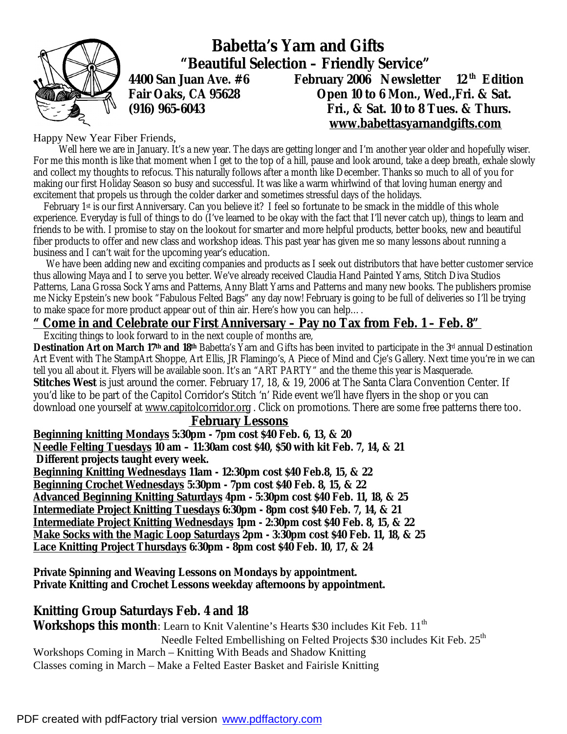

 **Babetta's Yarn and Gifts "Beautiful Selection – Friendly Service" 4400 San Juan Ave. #6 February 2006 Newsletter 12 th Edition Fair Oaks, CA 95628 Open 10 to 6 Mon., Wed.,Fri. & Sat. (916) 965-6043 Fri., & Sat. 10 to 8 Tues. & Thurs. [www.babettasyarnandgifts.com](http://www.babettasyarnandgifts.com)**

Happy New Year Fiber Friends,

 Well here we are in January. It's a new year. The days are getting longer and I'm another year older and hopefully wiser. For me this month is like that moment when I get to the top of a hill, pause and look around, take a deep breath, exhale slowly and collect my thoughts to refocus. This naturally follows after a month like December. Thanks so much to all of you for making our first Holiday Season so busy and successful. It was like a warm whirlwind of that loving human energy and excitement that propels us through the colder darker and sometimes stressful days of the holidays.

 February 1st is our first Anniversary. Can you believe it? I feel so fortunate to be smack in the middle of this whole experience. Everyday is full of things to do (I've learned to be okay with the fact that I'll never catch up), things to learn and friends to be with. I promise to stay on the lookout for smarter and more helpful products, better books, new and beautiful fiber products to offer and new class and workshop ideas. This past year has given me so many lessons about running a business and I can't wait for the upcoming year's education.

 We have been adding new and exciting companies and products as I seek out distributors that have better customer service thus allowing Maya and I to serve you better. We've already received Claudia Hand Painted Yarns, Stitch Diva Studios Patterns, Lana Grossa Sock Yarns and Patterns, Anny Blatt Yarns and Patterns and many new books. The publishers promise me Nicky Epstein's new book "Fabulous Felted Bags" any day now! February is going to be full of deliveries so I'll be trying to make space for more product appear out of thin air. Here's how you can help….

### *" Come in and Celebrate our First Anniversary – Pay no Tax from Feb. 1 – Feb. 8"*

Exciting things to look forward to in the next couple of months are,

**Destination Art on March 17th and 18th** Babetta's Yarn and Gifts has been invited to participate in the 3rd annual Destination Art Event with The StampArt Shoppe, Art Ellis, JR Flamingo's, A Piece of Mind and Cje's Gallery. Next time you're in we can tell you all about it. Flyers will be available soon. It's an "ART PARTY" and the theme this year is Masquerade. **Stitches West** is just around the corner. February 17, 18, & 19, 2006 at The Santa Clara Convention Center. If you'd like to be part of the Capitol Corridor's Stitch 'n' Ride event we'll have flyers in the shop or you can download one yourself at [www.capitolcorridor.org](http://www.capitolcorridor.org). Click on promotions. There are some free patterns there too.

#### **February Lessons**

**Beginning knitting Mondays 5:30pm - 7pm cost \$40 Feb. 6, 13, & 20 Needle Felting Tuesdays 10 am – 11:30am cost \$40, \$50 with kit Feb. 7, 14, & 21 Different projects taught every week.** 

**Beginning Knitting Wednesdays 11am - 12:30pm cost \$40 Feb.8, 15, & 22 Beginning Crochet Wednesdays 5:30pm - 7pm cost \$40 Feb. 8, 15, & 22 Advanced Beginning Knitting Saturdays 4pm - 5:30pm cost \$40 Feb. 11, 18, & 25 Intermediate Project Knitting Tuesdays 6:30pm - 8pm cost \$40 Feb. 7, 14, & 21 Intermediate Project Knitting Wednesdays 1pm - 2:30pm cost \$40 Feb. 8, 15, & 22 Make Socks with the Magic Loop Saturdays 2pm - 3:30pm cost \$40 Feb. 11, 18, & 25 Lace Knitting Project Thursdays 6:30pm - 8pm cost \$40 Feb. 10, 17, & 24** 

**Private Spinning and Weaving Lessons on Mondays by appointment. Private Knitting and Crochet Lessons weekday afternoons by appointment.** 

### **Knitting Group Saturdays Feb. 4 and 18**

**Workshops this month**: Learn to Knit Valentine's Hearts \$30 includes Kit Feb. 11<sup>th</sup>

Needle Felted Embellishing on Felted Projects  $$30$  includes Kit Feb.  $25<sup>th</sup>$ 

Workshops Coming in March – Knitting With Beads and Shadow Knitting Classes coming in March – Make a Felted Easter Basket and Fairisle Knitting